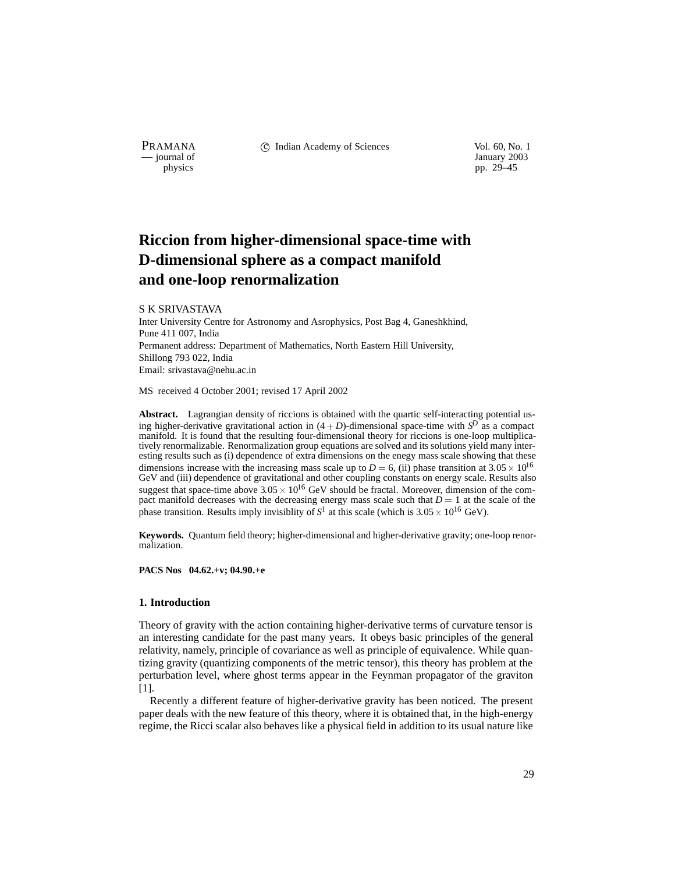PRAMANA 
<sup>c</sup> Indian Academy of Sciences 
<sup>Vol. 60, No. 1<br>
c iournal of January 2003</sup>

January 2003 physics pp. 29–45

# **Riccion from higher-dimensional space-time with D-dimensional sphere as a compact manifold and one-loop renormalization**

#### S K SRIVASTAVA

Inter University Centre for Astronomy and Asrophysics, Post Bag 4, Ganeshkhind, Pune 411 007, India Permanent address: Department of Mathematics, North Eastern Hill University, Shillong 793 022, India Email: srivastava@nehu.ac.in

MS received 4 October 2001; revised 17 April 2002

**Abstract.** Lagrangian density of riccions is obtained with the quartic self-interacting potential using higher-derivative gravitational action in  $(4+D)$ -dimensional space-time with  $S^D$  as a compact manifold. It is found that the resulting four-dimensional theory for riccions is one-loop multiplicatively renormalizable. Renormalization group equations are solved and its solutions yield many interesting results such as (i) dependence of extra dimensions on the enegy mass scale showing that these dimensions increase with the increasing mass scale up to  $D = 6$ , (ii) phase transition at  $3.05 \times 10^{16}$ GeV and (iii) dependence of gravitational and other coupling constants on energy scale. Results also suggest that space-time above  $3.05 \times 10^{16}$  GeV should be fractal. Moreover, dimension of the compact manifold decreases with the decreasing energy mass scale such that  $D = 1$  at the scale of the phase transition. Results imply invisiblity of  $S^1$  at this scale (which is  $3.05 \times 10^{16}$  GeV).

**Keywords.** Quantum field theory; higher-dimensional and higher-derivative gravity; one-loop renormalization.

### **PACS Nos 04.62.+v; 04.90.+e**

#### **1. Introduction**

Theory of gravity with the action containing higher-derivative terms of curvature tensor is an interesting candidate for the past many years. It obeys basic principles of the general relativity, namely, principle of covariance as well as principle of equivalence. While quantizing gravity (quantizing components of the metric tensor), this theory has problem at the perturbation level, where ghost terms appear in the Feynman propagator of the graviton [1].

Recently a different feature of higher-derivative gravity has been noticed. The present paper deals with the new feature of this theory, where it is obtained that, in the high-energy regime, the Ricci scalar also behaves like a physical field in addition to its usual nature like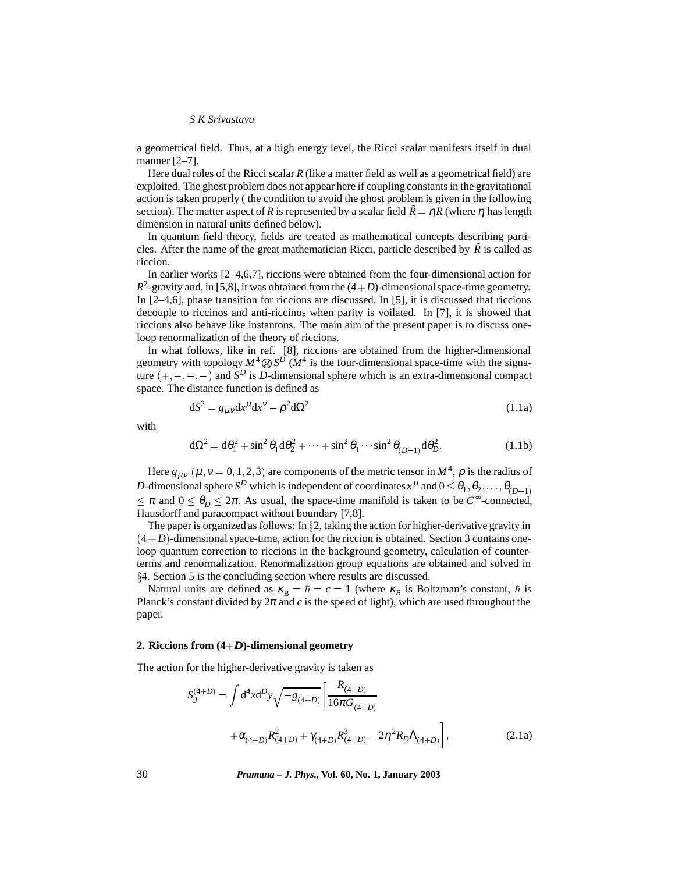a geometrical field. Thus, at a high energy level, the Ricci scalar manifests itself in dual manner [2–7].

Here dual roles of the Ricci scalar *R* (like a matter field as well as a geometrical field) are exploited. The ghost problem does not appear here if coupling constants in the gravitational action is taken properly ( the condition to avoid the ghost problem is given in the following section). The matter aspect of *R* is represented by a scalar field  $\tilde{R} = \eta R$  (where  $\eta$  has length dimension in natural units defined below).

In quantum field theory, fields are treated as mathematical concepts describing particles. After the name of the great mathematician Ricci, particle described by  $\tilde{R}$  is called as riccion.

In earlier works [2–4,6,7], riccions were obtained from the four-dimensional action for  $R^2$ -gravity and, in [5,8], it was obtained from the  $(4+D)$ -dimensional space-time geometry. In [2–4,6], phase transition for riccions are discussed. In [5], it is discussed that riccions decouple to riccinos and anti-riccinos when parity is voilated. In [7], it is showed that riccions also behave like instantons. The main aim of the present paper is to discuss oneloop renormalization of the theory of riccions.

In what follows, like in ref. [8], riccions are obtained from the higher-dimensional geometry with topology  $M^4 \otimes S^D$  ( $M^4$  is the four-dimensional space-time with the signature  $(+,-,-,-)$  and *S<sup>D</sup>* is *D*-dimensional sphere which is an extra-dimensional compact space. The distance function is defined as

$$
dS^2 = g_{\mu\nu}dx^{\mu}dx^{\nu} - \rho^2 d\Omega^2
$$
\n(1.1a)

with

$$
d\Omega^2 = d\theta_1^2 + \sin^2 \theta_1 d\theta_2^2 + \dots + \sin^2 \theta_1 \dots \sin^2 \theta_{(D-1)} d\theta_D^2.
$$
 (1.1b)

Here  $g_{\mu\nu}$  ( $\mu$ ,  $\nu$  = 0, 1, 2, 3) are components of the metric tensor in  $M^4$ ,  $\rho$  is the radius of *D*-dimensional sphere  $S^D$  which is independent of coordinates  $x^{\mu}$  and  $0 \le \theta_1, \theta_2, \dots, \theta_{(D-1)}$  $\leq \pi$  and  $0 \leq \theta_D \leq 2\pi$ . As usual, the space-time manifold is taken to be *C*<sup>∞</sup>-connected, Hausdorff and paracompact without boundary [7,8].

The paper is organized as follows: In  $\S2$ , taking the action for higher-derivative gravity in  $(4+D)$ -dimensional space-time, action for the riccion is obtained. Section 3 contains oneloop quantum correction to riccions in the background geometry, calculation of counterterms and renormalization. Renormalization group equations are obtained and solved in x4. Section 5 is the concluding section where results are discussed.

Natural units are defined as  $\kappa_B = \hbar = c = 1$  (where  $\kappa_B$  is Boltzman's constant,  $\hbar$  is Planck's constant divided by  $2\pi$  and *c* is the speed of light), which are used throughout the paper.

#### **2. Riccions from (4**+*DD***)-dimensional geometry**

The action for the higher-derivative gravity is taken as

$$
S_{g}^{(4+D)} = \int d^{4}x d^{D}y \sqrt{-g_{(4+D)}} \left[ \frac{R_{(4+D)}}{16\pi G_{(4+D)}} + \alpha_{(4+D)}R^{2}_{(4+D)} + \gamma_{(4+D)}R^{3}_{(4+D)} - 2\eta^{2}R_{D}\Lambda_{(4+D)} \right],
$$
\n(2.1a)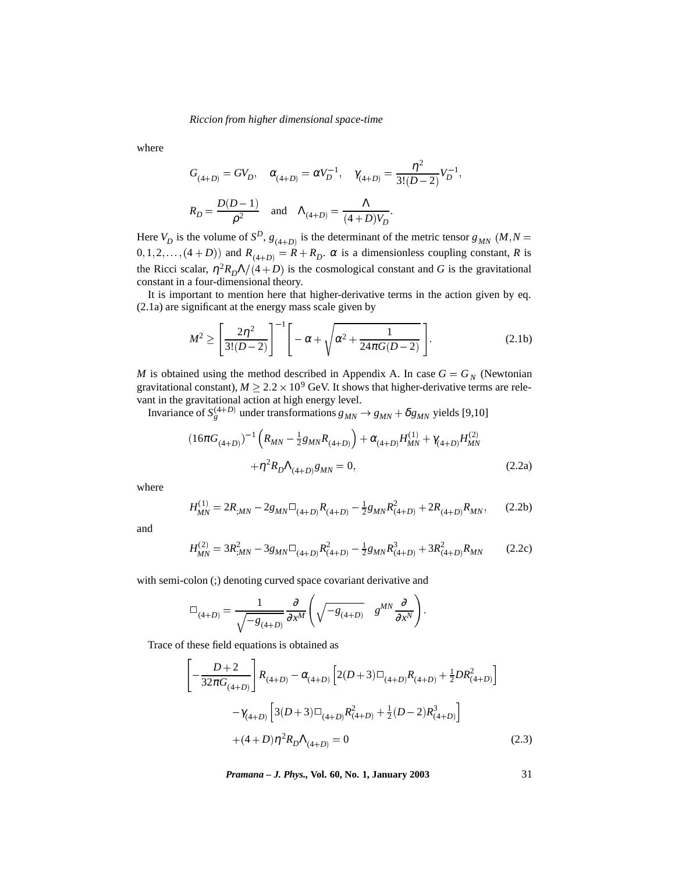where

$$
G_{(4+D)} = GV_D, \quad \alpha_{(4+D)} = \alpha V_D^{-1}, \quad \gamma_{(4+D)} = \frac{\eta^2}{3!(D-2)} V_D^{-1},
$$

$$
R_D = \frac{D(D-1)}{\rho^2} \quad \text{and} \quad \Lambda_{(4+D)} = \frac{\Lambda}{(4+D)V_D}.
$$

Here  $V_D$  is the volume of  $S^D$ ,  $g_{(4+D)}$  is the determinant of the metric tensor  $g_{MN}$  (*M*, *N* =  $(0, 1, 2, \ldots, (4 + D))$  and  $R_{(4+D)} = R + R_D$ .  $\alpha$  is a dimensionless coupling constant, *R* is the Ricci scalar,  $\eta^2 R_D \Lambda/(4 + D)$  is the cosmological constant and *G* is the gravitational constant in a four-dimensional theory.

It is important to mention here that higher-derivative terms in the action given by eq. (2.1a) are significant at the energy mass scale given by

$$
M^{2} \ge \left[\frac{2\eta^{2}}{3!(D-2)}\right]^{-1} \left[-\alpha + \sqrt{\alpha^{2} + \frac{1}{24\pi G(D-2)}}\right].
$$
 (2.1b)

*M* is obtained using the method described in Appendix A. In case  $G = G_N$  (Newtonian gravitational constant),  $M \ge 2.2 \times 10^9$  GeV. It shows that higher-derivative terms are relevant in the gravitational action at high energy level.

Invariance of  $S_g^{(4+D)}$  under transformations  $g_{MN} \rightarrow g_{MN} + \delta g_{MN}$  yields [9,10]

$$
(16\pi G_{(4+D)})^{-1} \left( R_{MN} - \frac{1}{2} g_{MN} R_{(4+D)} \right) + \alpha_{(4+D)} H_{MN}^{(1)} + \gamma_{(4+D)} H_{MN}^{(2)}
$$
  
 
$$
+ \eta^2 R_D \Lambda_{(4+D)} g_{MN} = 0, \qquad (2.2a)
$$

where

$$
H_{MN}^{(1)} = 2R_{;MN} - 2g_{MN}\Box_{(4+D)}R_{(4+D)} - \frac{1}{2}g_{MN}R_{(4+D)}^2 + 2R_{(4+D)}R_{MN},\tag{2.2b}
$$

and

$$
H_{MN}^{(2)} = 3R_{;MN}^2 - 3g_{MN}\Box_{(4+D)}R_{(4+D)}^2 - \frac{1}{2}g_{MN}R_{(4+D)}^3 + 3R_{(4+D)}^2R_{MN}
$$
 (2.2c)

with semi-colon (;) denoting curved space covariant derivative and

$$
\Box_{(4+D)} = \frac{1}{\sqrt{-g_{(4+D)}}} \frac{\partial}{\partial x^M} \left( \sqrt{-g_{(4+D)}} \quad g^{MN} \frac{\partial}{\partial x^N} \right).
$$

Trace of these field equations is obtained as

$$
\left[-\frac{D+2}{32\pi G_{(4+D)}}\right]R_{(4+D)} - \alpha_{(4+D)}\left[2(D+3)\square_{(4+D)}R_{(4+D)} + \frac{1}{2}DR_{(4+D)}^2\right]
$$

$$
-\gamma_{(4+D)}\left[3(D+3)\square_{(4+D)}R_{(4+D)}^2 + \frac{1}{2}(D-2)R_{(4+D)}^3\right]
$$

$$
+(4+D)\eta^2R_D\Lambda_{(4+D)} = 0
$$
(2.3)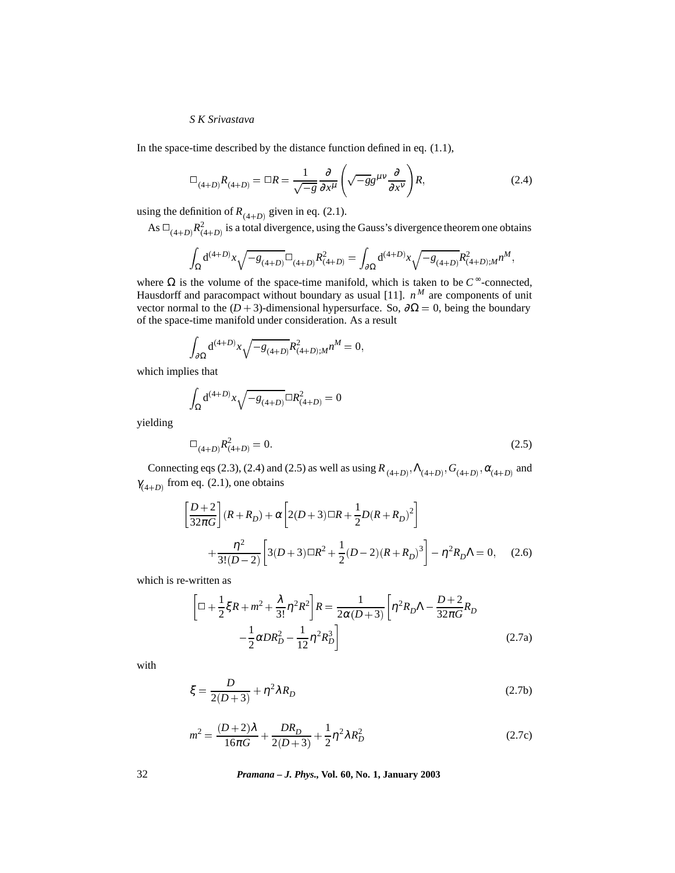In the space-time described by the distance function defined in eq.  $(1.1)$ ,

$$
\Box_{(4+D)} R_{(4+D)} = \Box R = \frac{1}{\sqrt{-g}} \frac{\partial}{\partial x^{\mu}} \left( \sqrt{-g} g^{\mu \nu} \frac{\partial}{\partial x^{\nu}} \right) R, \tag{2.4}
$$

using the definition of  $R_{(4+D)}$  given in eq. (2.1).

As 
$$
\Box_{(4+D)} R^2_{(4+D)}
$$
 is a total divergence, using the Gauss's divergence theorem one obtains

$$
\int_{\Omega} \mathrm{d}^{(4+D)}x \sqrt{-g_{(4+D)}} \Box_{(4+D)} R^2_{(4+D)} = \int_{\partial \Omega} \mathrm{d}^{(4+D)}x \sqrt{-g_{(4+D)}} R^2_{(4+D);M} n^M,
$$

where  $Ω$  is the volume of the space-time manifold, which is taken to be  $C^{\infty}$ -connected, Hausdorff and paracompact without boundary as usual [11].  $n^M$  are components of unit vector normal to the ( $D + 3$ )-dimensional hypersurface. So,  $\partial \Omega = 0$ , being the boundary of the space-time manifold under consideration. As a result

$$
\int_{\partial\Omega} d^{(4+D)}x \sqrt{-g_{(4+D)}} R^2_{(4+D);M} n^M = 0,
$$

which implies that

$$
\int_{\Omega} d^{(4+D)}x \sqrt{-g_{(4+D)}} \Box R^2_{(4+D)} = 0
$$

yielding

$$
\Box_{(4+D)} R^2_{(4+D)} = 0. \tag{2.5}
$$

Connecting eqs (2.3), (2.4) and (2.5) as well as using  $R_{(4+D)}, \Lambda_{(4+D)}, G_{(4+D)}, \alpha_{(4+D)}$  and  $\gamma_{(4+D)}$  from eq. (2.1), one obtains

$$
\left[\frac{D+2}{32\pi G}\right](R+R_D) + \alpha \left[2(D+3)\Box R + \frac{1}{2}D(R+R_D)^2\right] + \frac{\eta^2}{3!(D-2)} \left[3(D+3)\Box R^2 + \frac{1}{2}(D-2)(R+R_D)^3\right] - \eta^2 R_D \Lambda = 0, \quad (2.6)
$$

which is re-written as

$$
\left[\Box + \frac{1}{2}\xi R + m^2 + \frac{\lambda}{3!}\eta^2 R^2\right]R = \frac{1}{2\alpha(D+3)}\left[\eta^2 R_D \Lambda - \frac{D+2}{32\pi G}R_D\right] - \frac{1}{2}\alpha D R_D^2 - \frac{1}{12}\eta^2 R_D^3\right]
$$
(2.7a)

with

$$
\xi = \frac{D}{2(D+3)} + \eta^2 \lambda R_D \tag{2.7b}
$$

$$
m^{2} = \frac{(D+2)\lambda}{16\pi G} + \frac{DR_{D}}{2(D+3)} + \frac{1}{2}\eta^{2}\lambda R_{D}^{2}
$$
 (2.7c)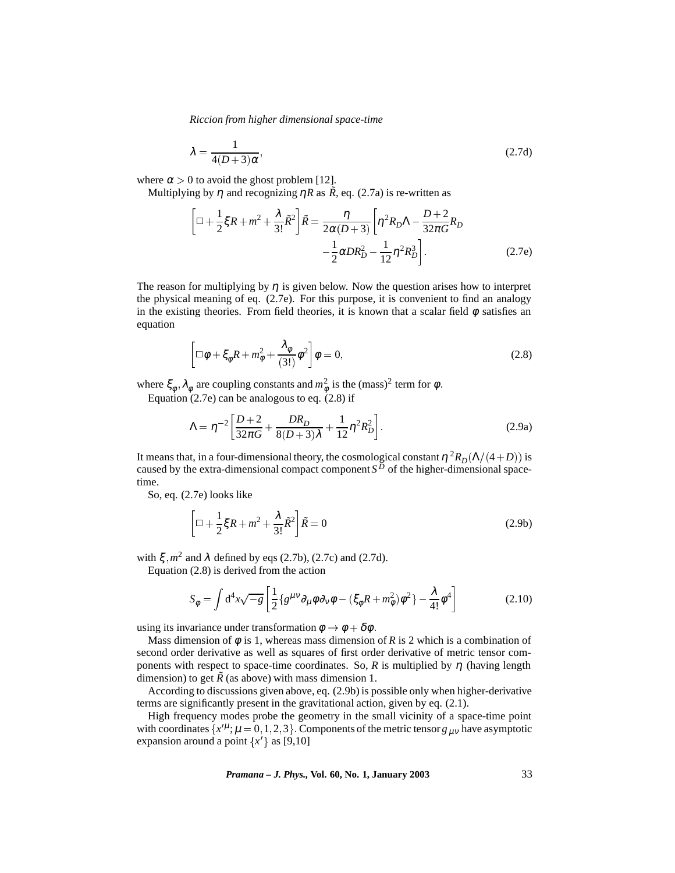$$
\lambda = \frac{1}{4(D+3)\alpha},\tag{2.7d}
$$

where  $\alpha > 0$  to avoid the ghost problem [12].

Multiplying by  $\eta$  and recognizing  $\eta R$  as  $\tilde{R}$ , eq. (2.7a) is re-written as

$$
\left[\Box + \frac{1}{2}\xi R + m^2 + \frac{\lambda}{3!}\tilde{R}^2\right]\tilde{R} = \frac{\eta}{2\alpha(D+3)}\left[\eta^2 R_D \Lambda - \frac{D+2}{32\pi G}R_D\right] - \frac{1}{2}\alpha DR_D^2 - \frac{1}{12}\eta^2 R_D^3\right]
$$
(2.7e)

The reason for multiplying by  $\eta$  is given below. Now the question arises how to interpret the physical meaning of eq. (2.7e). For this purpose, it is convenient to find an analogy in the existing theories. From field theories, it is known that a scalar field  $\phi$  satisfies an equation

$$
\left[\Box\phi + \xi_{\phi}R + m_{\phi}^2 + \frac{\lambda_{\phi}}{(3!)}\phi^2\right]\phi = 0, \qquad (2.8)
$$

where  $\xi_{\phi}$ ,  $\lambda_{\phi}$  are coupling constants and  $m_{\phi}^2$  is the (mass)<sup>2</sup> term for  $\phi$ .

Equation  $(2.7e)$  can be analogous to eq.  $(2.8)$  if

$$
\Lambda = \eta^{-2} \left[ \frac{D+2}{32\pi G} + \frac{DR_D}{8(D+3)\lambda} + \frac{1}{12} \eta^2 R_D^2 \right].
$$
 (2.9a)

It means that, in a four-dimensional theory, the cosmological constant  $\eta^2 R_D(\Lambda/(4+D))$  is caused by the extra-dimensional compact component  $S^D$  of the higher-dimensional spacetime.

So, eq. (2.7e) looks like

$$
\left[\Box + \frac{1}{2}\xi R + m^2 + \frac{\lambda}{3!}\tilde{R}^2\right]\tilde{R} = 0\tag{2.9b}
$$

with  $\xi$ ,  $m^2$  and  $\lambda$  defined by eqs (2.7b), (2.7c) and (2.7d).

Equation (2.8) is derived from the action

$$
S_{\phi} = \int d^4x \sqrt{-g} \left[ \frac{1}{2} \{ g^{\mu\nu} \partial_{\mu} \phi \partial_{\nu} \phi - (\xi_{\phi} R + m_{\phi}^2) \phi^2 \} - \frac{\lambda}{4!} \phi^4 \right] \tag{2.10}
$$

using its invariance under transformation  $\phi \to \phi + \delta \phi$ .

Mass dimension of  $\phi$  is 1, whereas mass dimension of R is 2 which is a combination of second order derivative as well as squares of first order derivative of metric tensor components with respect to space-time coordinates. So,  $R$  is multiplied by  $\eta$  (having length dimension) to get  $\tilde{R}$  (as above) with mass dimension 1.

According to discussions given above, eq. (2.9b) is possible only when higher-derivative terms are significantly present in the gravitational action, given by eq. (2.1).

High frequency modes probe the geometry in the small vicinity of a space-time point with coordinates  $\{x^{\prime\mu}; \mu = 0, 1, 2, 3\}$ . Components of the metric tensor  $g_{\mu\nu}$  have asymptotic expansion around a point  $\{x'\}$  as [9,10]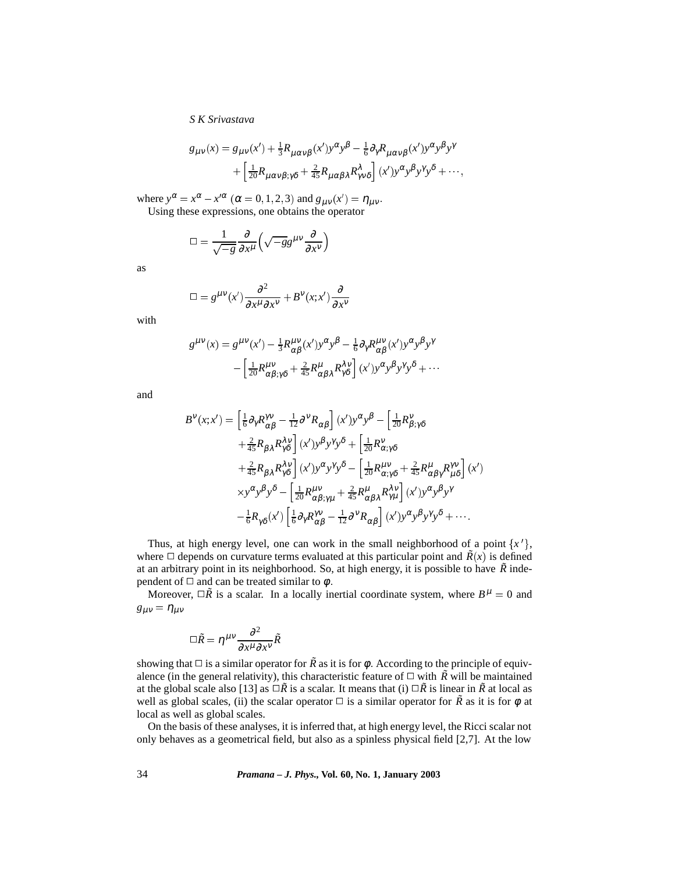$$
g_{\mu\nu}(x) = g_{\mu\nu}(x') + \frac{1}{3}R_{\mu\alpha\nu\beta}(x')y^{\alpha}y^{\beta} - \frac{1}{6}\partial_{\gamma}R_{\mu\alpha\nu\beta}(x')y^{\alpha}y^{\beta}y^{\gamma} + \left[\frac{1}{20}R_{\mu\alpha\nu\beta;\gamma\delta} + \frac{2}{45}R_{\mu\alpha\beta\lambda}R_{\gamma\nu\delta}^{\lambda}\right](x')y^{\alpha}y^{\beta}y^{\gamma}y^{\delta} + \cdots,
$$

where  $y^{\alpha} = x^{\alpha} - x'^{\alpha}$  ( $\alpha = 0, 1, 2, 3$ ) and  $g_{\mu\nu}(x') = \eta_{\mu\nu}$ . Using these expressions, one obtains the operator

$$
\Box = \frac{1}{\sqrt{-g}} \frac{\partial}{\partial x^{\mu}} \left( \sqrt{-g} g^{\mu \nu} \frac{\partial}{\partial x^{\nu}} \right)
$$

as

$$
\Box = g^{\mu\nu}(x') \frac{\partial^2}{\partial x^{\mu} \partial x^{\nu}} + B^{\nu}(x; x') \frac{\partial}{\partial x^{\nu}}
$$

with

$$
g^{\mu\nu}(x) = g^{\mu\nu}(x') - \frac{1}{3}R^{\mu\nu}_{\alpha\beta}(x')y^{\alpha}y^{\beta} - \frac{1}{6}\partial_{\gamma}R^{\mu\nu}_{\alpha\beta}(x')y^{\alpha}y^{\beta}y^{\gamma} - \left[\frac{1}{20}R^{\mu\nu}_{\alpha\beta;\gamma\delta} + \frac{2}{45}R^{\mu}_{\alpha\beta\lambda}R^{\lambda\nu}_{\gamma\delta}\right](x')y^{\alpha}y^{\beta}y^{\gamma}y^{\delta} + \cdots
$$

and

$$
B^{V}(x;x') = \left[\frac{1}{6}\partial_{\gamma}R^{\gamma V}_{\alpha\beta} - \frac{1}{12}\partial^{\gamma}R_{\alpha\beta}\right](x')y^{\alpha}y^{\beta} - \left[\frac{1}{20}R^{\gamma}_{\beta;\gamma\delta} + \frac{2}{45}R_{\beta\lambda}R^{\lambda V}_{\gamma\delta}\right](x')y^{\beta}y^{\gamma}y^{\delta} + \left[\frac{1}{20}R^{\gamma}_{\alpha;\gamma\delta} + \frac{2}{45}R_{\beta\lambda}R^{\lambda V}_{\gamma\delta}\right](x')y^{\alpha}y^{\gamma}y^{\delta} - \left[\frac{1}{20}R^{\mu\nu}_{\alpha;\gamma\delta} + \frac{2}{45}R^{\mu}_{\alpha\beta\gamma}R^{\gamma\nu}_{\mu\delta}\right](x') + xy^{\alpha}y^{\beta}y^{\delta} - \left[\frac{1}{20}R^{\mu\nu}_{\alpha\beta;\gamma\mu} + \frac{2}{45}R^{\mu}_{\alpha\beta\lambda}R^{\lambda\nu}_{\gamma\mu}\right](x')y^{\alpha}y^{\beta}y^{\gamma} - \frac{1}{6}R_{\gamma\delta}(x')\left[\frac{1}{6}\partial_{\gamma}R^{\gamma\nu}_{\alpha\beta} - \frac{1}{12}\partial^{\gamma}R_{\alpha\beta}\right](x')y^{\alpha}y^{\beta}y^{\gamma}y^{\delta} + \cdots
$$

Thus, at high energy level, one can work in the small neighborhood of a point  $\{x'\}$ , where  $\Box$  depends on curvature terms evaluated at this particular point and  $\tilde{R}(x)$  is defined at an arbitrary point in its neighborhood. So, at high energy, it is possible to have  $\tilde{R}$  independent of  $\Box$  and can be treated similar to  $\phi$ .

Moreover,  $\Box \tilde{R}$  is a scalar. In a locally inertial coordinate system, where  $B^{\mu} = 0$  and  $g_{\mu\nu} = \eta_{\mu\nu}$ 

$$
\Box \tilde{R} = \eta^{\mu\nu} \frac{\partial^2}{\partial x^{\mu} \partial x^{\nu}} \tilde{R}
$$

showing that  $\Box$  is a similar operator for  $\tilde{R}$  as it is for  $\phi$ . According to the principle of equivalence (in the general relativity), this characteristic feature of  $\Box$  with  $\tilde{R}$  will be maintained at the global scale also [13] as  $\Box \tilde{R}$  is a scalar. It means that (i)  $\Box \tilde{R}$  is linear in  $\tilde{R}$  at local as well as global scales, (ii) the scalar operator  $\Box$  is a similar operator for  $\tilde{R}$  as it is for  $\phi$  at local as well as global scales.

On the basis of these analyses, it is inferred that, at high energy level, the Ricci scalar not only behaves as a geometrical field, but also as a spinless physical field [2,7]. At the low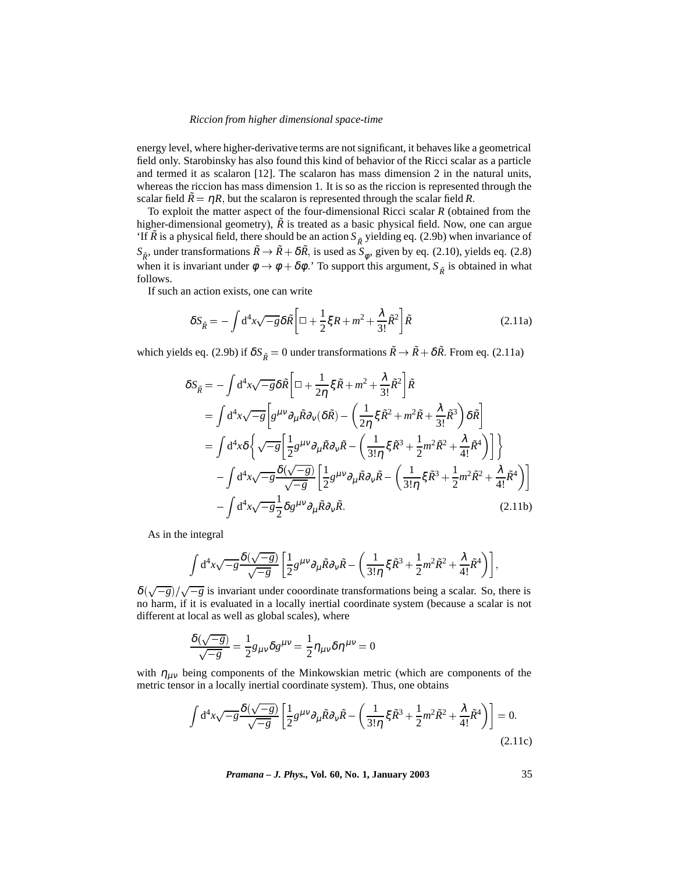energy level, where higher-derivative terms are not significant, it behaves like a geometrical field only. Starobinsky has also found this kind of behavior of the Ricci scalar as a particle and termed it as scalaron [12]. The scalaron has mass dimension 2 in the natural units, whereas the riccion has mass dimension 1. It is so as the riccion is represented through the scalar field  $\tilde{R} = \eta R$ , but the scalaron is represented through the scalar field R.

To exploit the matter aspect of the four-dimensional Ricci scalar *R* (obtained from the higher-dimensional geometry),  $\tilde{R}$  is treated as a basic physical field. Now, one can argue 'If  $\tilde{R}$  is a physical field, there should be an action  $S_{\tilde{R}}$  yielding eq. (2.9b) when invariance of  $S_{\tilde{R}}$ , under transformations  $\tilde{R} \to \tilde{R} + \delta \tilde{R}$ , is used as  $S_{\phi}$ , given by eq. (2.10), yields eq. (2.8) when it is invariant under  $\phi \to \phi + \delta\phi$ .' To support this argument,  $S_{\tilde{p}}$  is obtained in what follows.

If such an action exists, one can write

$$
\delta S_{\tilde{R}} = -\int d^4x \sqrt{-g} \delta \tilde{R} \left[ \Box + \frac{1}{2} \xi R + m^2 + \frac{\lambda}{3!} \tilde{R}^2 \right] \tilde{R}
$$
 (2.11a)

which yields eq. (2.9b) if  $\delta S_{\tilde{R}} = 0$  under transformations  $\tilde{R} \to \tilde{R} + \delta \tilde{R}$ . From eq. (2.11a)

$$
\delta S_{\tilde{R}} = -\int d^4x \sqrt{-g} \delta \tilde{R} \left[ \Box + \frac{1}{2\eta} \xi \tilde{R} + m^2 + \frac{\lambda}{3!} \tilde{R}^2 \right] \tilde{R}
$$
  
\n
$$
= \int d^4x \sqrt{-g} \left[ g^{\mu\nu} \partial_{\mu} \tilde{R} \partial_{\nu} (\delta \tilde{R}) - \left( \frac{1}{2\eta} \xi \tilde{R}^2 + m^2 \tilde{R} + \frac{\lambda}{3!} \tilde{R}^3 \right) \delta \tilde{R} \right]
$$
  
\n
$$
= \int d^4x \delta \left\{ \sqrt{-g} \left[ \frac{1}{2} g^{\mu\nu} \partial_{\mu} \tilde{R} \partial_{\nu} \tilde{R} - \left( \frac{1}{3! \eta} \xi \tilde{R}^3 + \frac{1}{2} m^2 \tilde{R}^2 + \frac{\lambda}{4!} \tilde{R}^4 \right) \right] \right\}
$$
  
\n
$$
- \int d^4x \sqrt{-g} \frac{\delta(\sqrt{-g})}{\sqrt{-g}} \left[ \frac{1}{2} g^{\mu\nu} \partial_{\mu} \tilde{R} \partial_{\nu} \tilde{R} - \left( \frac{1}{3! \eta} \xi \tilde{R}^3 + \frac{1}{2} m^2 \tilde{R}^2 + \frac{\lambda}{4!} \tilde{R}^4 \right) \right]
$$
  
\n
$$
- \int d^4x \sqrt{-g} \frac{1}{2} \delta g^{\mu\nu} \partial_{\mu} \tilde{R} \partial_{\nu} \tilde{R}.
$$
 (2.11b)

As in the integral

$$
\int d^4x \sqrt{-g} \frac{\delta(\sqrt{-g})}{\sqrt{-g}} \left[ \frac{1}{2} g^{\mu\nu} \partial_\mu \tilde{R} \partial_\nu \tilde{R} - \left( \frac{1}{3! \eta} \xi \tilde{R}^3 + \frac{1}{2} m^2 \tilde{R}^2 + \frac{\lambda}{4!} \tilde{R}^4 \right) \right],
$$

 $\delta(\sqrt{-g})/\sqrt{-g}$  is invariant under cooordinate transformations being a scalar. So, there is no harm, if it is evaluated in a locally inertial coordinate system (because a scalar is not different at local as well as global scales), where

$$
\frac{\delta(\sqrt{-g})}{\sqrt{-g}} = \frac{1}{2}g_{\mu\nu}\delta g^{\mu\nu} = \frac{1}{2}\eta_{\mu\nu}\delta\eta^{\mu\nu} = 0
$$

with  $\eta_{\mu\nu}$  being components of the Minkowskian metric (which are components of the metric tensor in a locally inertial coordinate system). Thus, one obtains

$$
\int d^4x \sqrt{-g} \frac{\delta(\sqrt{-g})}{\sqrt{-g}} \left[ \frac{1}{2} g^{\mu\nu} \partial_\mu \tilde{R} \partial_\nu \tilde{R} - \left( \frac{1}{3! \eta} \xi \tilde{R}^3 + \frac{1}{2} m^2 \tilde{R}^2 + \frac{\lambda}{4!} \tilde{R}^4 \right) \right] = 0.
$$
\n(2.11c)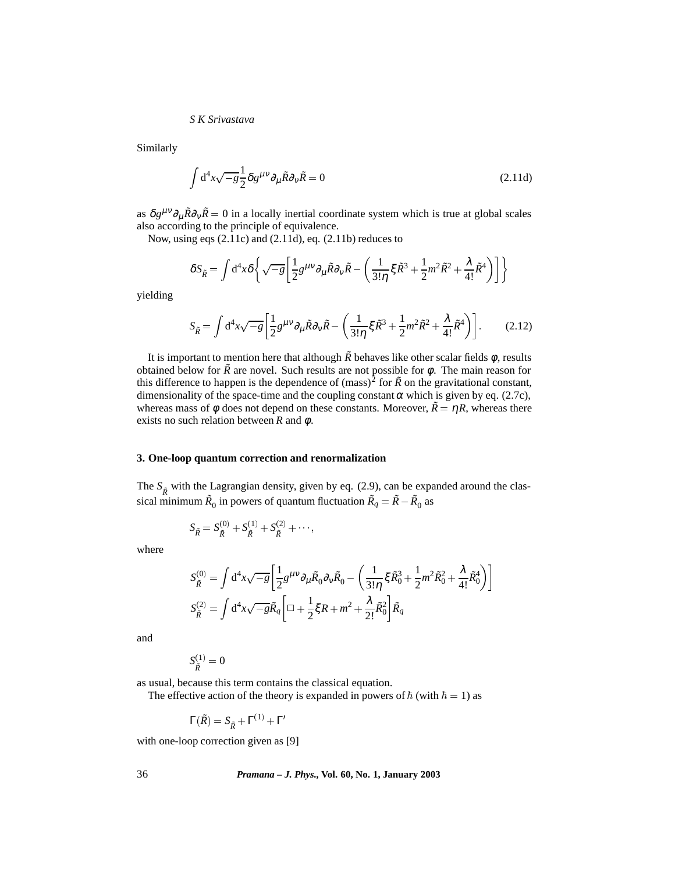Similarly

$$
\int d^4x \sqrt{-g} \frac{1}{2} \delta g^{\mu\nu} \partial_\mu \tilde{R} \partial_\nu \tilde{R} = 0
$$
\n(2.11d)

as  $\delta g^{\mu\nu}\partial_{\mu}\tilde{R}\partial_{\nu}\tilde{R} = 0$  in a locally inertial coordinate system which is true at global scales also according to the principle of equivalence.

Now, using eqs (2.11c) and (2.11d), eq. (2.11b) reduces to

$$
\delta S_{\tilde{R}} = \int d^4x \delta \left\{ \sqrt{-g} \left[ \frac{1}{2} g^{\mu\nu} \partial_\mu \tilde{R} \partial_\nu \tilde{R} - \left( \frac{1}{3! \eta} \xi \tilde{R}^3 + \frac{1}{2} m^2 \tilde{R}^2 + \frac{\lambda}{4!} \tilde{R}^4 \right) \right] \right\}
$$

yielding

$$
S_{\tilde{R}} = \int d^4x \sqrt{-g} \left[ \frac{1}{2} g^{\mu\nu} \partial_{\mu} \tilde{R} \partial_{\nu} \tilde{R} - \left( \frac{1}{3! \eta} \xi \tilde{R}^3 + \frac{1}{2} m^2 \tilde{R}^2 + \frac{\lambda}{4!} \tilde{R}^4 \right) \right].
$$
 (2.12)

It is important to mention here that although  $\tilde{R}$  behaves like other scalar fields  $\phi$ , results obtained below for  $\tilde{R}$  are novel. Such results are not possible for  $\phi$ . The main reason for this difference to happen is the dependence of  $(mass)^2$  for  $\tilde{R}$  on the gravitational constant, dimensionality of the space-time and the coupling constant  $\alpha$  which is given by eq. (2.7c), whereas mass of  $\phi$  does not depend on these constants. Moreover,  $\tilde{R} = \eta R$ , whereas there exists no such relation between *R* and φ.

#### **3. One-loop quantum correction and renormalization**

The  $S_{\tilde{R}}$  with the Lagrangian density, given by eq. (2.9), can be expanded around the classical minimum  $\tilde{R}_0$  in powers of quantum fluctuation  $\tilde{R}_q = \tilde{R} - \tilde{R}_0$  as

$$
S_{\tilde{R}} = S_{\tilde{R}}^{(0)} + S_{\tilde{R}}^{(1)} + S_{\tilde{R}}^{(2)} + \cdots,
$$

where

$$
S_{\tilde{R}}^{(0)} = \int d^4x \sqrt{-g} \left[ \frac{1}{2} g^{\mu\nu} \partial_{\mu} \tilde{R}_0 \partial_{\nu} \tilde{R}_0 - \left( \frac{1}{3! \eta} \xi \tilde{R}_0^3 + \frac{1}{2} m^2 \tilde{R}_0^2 + \frac{\lambda}{4!} \tilde{R}_0^4 \right) \right]
$$
  

$$
S_{\tilde{R}}^{(2)} = \int d^4x \sqrt{-g} \tilde{R}_q \left[ \Box + \frac{1}{2} \xi R + m^2 + \frac{\lambda}{2!} \tilde{R}_0^2 \right] \tilde{R}_q
$$

and

$$
S_{\tilde{R}}^{(1)}=0
$$

as usual, because this term contains the classical equation.

The effective action of the theory is expanded in powers of  $\hbar$  (with  $\hbar = 1$ ) as

$$
\Gamma(\tilde{R}) = S_{\tilde{R}} + \Gamma^{(1)} + \Gamma'
$$

with one-loop correction given as [9]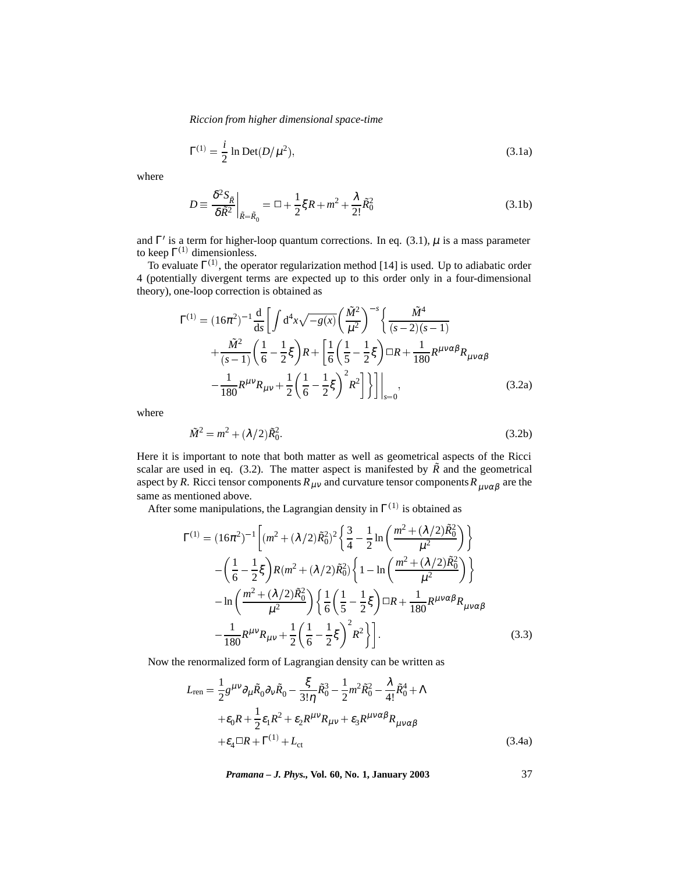$$
\Gamma^{(1)} = \frac{i}{2} \ln \text{Det}(D/\mu^2),\tag{3.1a}
$$

where

$$
D \equiv \frac{\delta^2 S_{\tilde{R}}}{\delta \tilde{R}^2} \bigg|_{\tilde{R} = \tilde{R}_0} = \Box + \frac{1}{2} \xi R + m^2 + \frac{\lambda}{2!} \tilde{R}_0^2 \tag{3.1b}
$$

and  $\Gamma'$  is a term for higher-loop quantum corrections. In eq. (3.1),  $\mu$  is a mass parameter to keep  $\Gamma^{(1)}$  dimensionless.

To evaluate  $\Gamma^{(1)}$ , the operator regularization method [14] is used. Up to adiabatic order 4 (potentially divergent terms are expected up to this order only in a four-dimensional theory), one-loop correction is obtained as

$$
\Gamma^{(1)} = (16\pi^2)^{-1} \frac{d}{ds} \left[ \int d^4x \sqrt{-g(x)} \left( \frac{\tilde{M}^2}{\mu^2} \right)^{-s} \left\{ \frac{\tilde{M}^4}{(s-2)(s-1)} \right. \n+ \frac{\tilde{M}^2}{(s-1)} \left( \frac{1}{6} - \frac{1}{2} \xi \right) R + \left[ \frac{1}{6} \left( \frac{1}{5} - \frac{1}{2} \xi \right) \Box R + \frac{1}{180} R^{\mu\nu\alpha\beta} R_{\mu\nu\alpha\beta} \n- \frac{1}{180} R^{\mu\nu} R_{\mu\nu} + \frac{1}{2} \left( \frac{1}{6} - \frac{1}{2} \xi \right)^2 R^2 \right] \Big] \Big|_{s=0},
$$
\n(3.2a)

where

$$
\tilde{M}^2 = m^2 + (\lambda/2)\tilde{R}_0^2
$$
\n(3.2b)

Here it is important to note that both matter as well as geometrical aspects of the Ricci scalar are used in eq. (3.2). The matter aspect is manifested by  $\tilde{R}$  and the geometrical aspect by *R*. Ricci tensor components  $R_{\mu\nu}$  and curvature tensor components  $R_{\mu\nu\alpha\beta}$  are the same as mentioned above.

After some manipulations, the Lagrangian density in  $\Gamma^{(1)}$  is obtained as

$$
\Gamma^{(1)} = (16\pi^2)^{-1} \left[ (m^2 + (\lambda/2)\tilde{R}_0^2)^2 \left\{ \frac{3}{4} - \frac{1}{2} \ln \left( \frac{m^2 + (\lambda/2)\tilde{R}_0^2}{\mu^2} \right) \right\} - \left( \frac{1}{6} - \frac{1}{2}\xi \right) R(m^2 + (\lambda/2)\tilde{R}_0^2) \left\{ 1 - \ln \left( \frac{m^2 + (\lambda/2)\tilde{R}_0^2}{\mu^2} \right) \right\} - \ln \left( \frac{m^2 + (\lambda/2)\tilde{R}_0^2}{\mu^2} \right) \left\{ \frac{1}{6} \left( \frac{1}{5} - \frac{1}{2}\xi \right) \Box R + \frac{1}{180} R^{\mu\nu\alpha\beta} R_{\mu\nu\alpha\beta} - \frac{1}{180} R^{\mu\nu} R_{\mu\nu} + \frac{1}{2} \left( \frac{1}{6} - \frac{1}{2}\xi \right)^2 R^2 \right\} \right].
$$
\n(3.3)

Now the renormalized form of Lagrangian density can be written as

$$
L_{\text{ren}} = \frac{1}{2} g^{\mu\nu} \partial_{\mu} \tilde{R}_0 \partial_{\nu} \tilde{R}_0 - \frac{\xi}{3! \eta} \tilde{R}_0^3 - \frac{1}{2} m^2 \tilde{R}_0^2 - \frac{\lambda}{4!} \tilde{R}_0^4 + \Lambda
$$
  
+  $\varepsilon_0 R + \frac{1}{2} \varepsilon_1 R^2 + \varepsilon_2 R^{\mu\nu} R_{\mu\nu} + \varepsilon_3 R^{\mu\nu\alpha\beta} R_{\mu\nu\alpha\beta}$   
+  $\varepsilon_4 \Box R + \Gamma^{(1)} + L_{\text{ct}}$  (3.4a)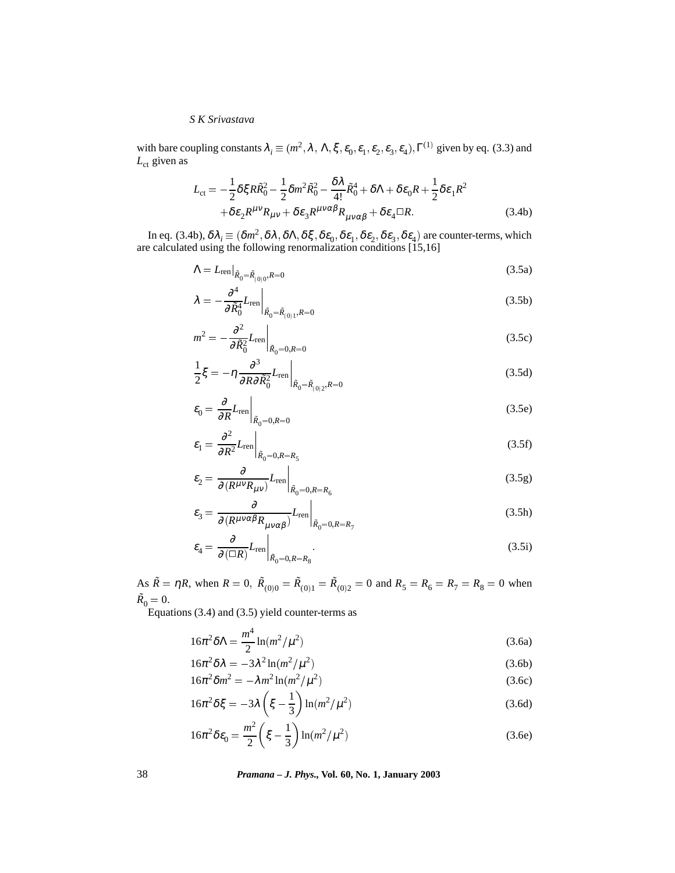with bare coupling constants  $\lambda_i \equiv (m^2, \lambda, \Lambda, \xi, \varepsilon_0, \varepsilon_1, \varepsilon_2, \varepsilon_3, \varepsilon_4), \Gamma^{(1)}$  given by eq. (3.3) and  $L_{\text{ct}}$  given as

$$
L_{\rm ct} = -\frac{1}{2}\delta\xi R\tilde{R}_0^2 - \frac{1}{2}\delta m^2 \tilde{R}_0^2 - \frac{\delta\lambda}{4!}\tilde{R}_0^4 + \delta\Lambda + \delta\varepsilon_0 R + \frac{1}{2}\delta\varepsilon_1 R^2
$$
  
+  $\delta\varepsilon_2 R^{\mu\nu}R_{\mu\nu} + \delta\varepsilon_3 R^{\mu\nu\alpha\beta}R_{\mu\nu\alpha\beta} + \delta\varepsilon_4 \Box R.$  (3.4b)

In eq. (3.4b),  $\delta \lambda_i \equiv (\delta m^2, \delta \lambda, \delta \Lambda, \delta \xi, \delta \epsilon_0, \delta \epsilon_1, \delta \epsilon_2, \delta \epsilon_3, \delta \epsilon_4)$  are counter-terms, which are calculated using the following renormalization conditions [15,16]

$$
\Lambda = L_{\text{ren}}|_{\tilde{R}_0 = \tilde{R}_{(0)0}, R = 0}
$$
\n(3.5a)

$$
\lambda = -\frac{\partial^4}{\partial \tilde{R}_0^4} L_{\text{ren}} \bigg|_{\tilde{R}_0 = \tilde{R}_{(0)1}, R = 0} \tag{3.5b}
$$

$$
m^2 = -\frac{\partial^2}{\partial \tilde{R}_0^2} L_{\text{ren}} \bigg|_{\tilde{R}_0 = 0, R = 0}
$$
\n(3.5c)

$$
\frac{1}{2}\xi = -\eta \frac{\partial^3}{\partial R \partial \tilde{R}_0^2} L_{\text{ren}} \bigg|_{\tilde{R}_0 = \tilde{R}_{(0)2}, R = 0} \tag{3.5d}
$$

$$
\varepsilon_0 = \frac{\partial}{\partial R} L_{\text{ren}} \bigg|_{\tilde{R}_0 = 0, R = 0} \tag{3.5e}
$$

$$
\varepsilon_1 = \frac{\partial^2}{\partial R^2} L_{\text{ren}} \bigg|_{\tilde{R}_0 = 0, R = R_5} \tag{3.5f}
$$

$$
\varepsilon_2 = \frac{\partial}{\partial (R^{\mu\nu} R_{\mu\nu})} L_{\text{ren}} \bigg|_{\tilde{R}_0 = 0, R = R_6} \tag{3.5g}
$$

$$
\varepsilon_{3} = \frac{\partial}{\partial (R^{\mu\nu\alpha\beta} R_{\mu\nu\alpha\beta})} L_{\text{ren}} \Big|_{\tilde{R}_{0} = 0, R = R_{7}}
$$
\n(3.5h)

$$
\varepsilon_4 = \frac{\partial}{\partial (\Box R)} L_{\text{ren}} \bigg|_{\tilde{R}_0 = 0, R = R_8} . \tag{3.5i}
$$

As  $\tilde{R} = \eta R$ , when  $R = 0$ ,  $\tilde{R}_{(0)0} = \tilde{R}_{(0)1} = \tilde{R}_{(0)2} = 0$  and  $R_5 = R_6 = R_7 = R_8 = 0$  when  $\tilde{R}_0 = 0.$ 

Equations (3.4) and (3.5) yield counter-terms as

$$
16\pi^2 \delta \Lambda = \frac{m^4}{2} \ln(m^2/\mu^2)
$$
 (3.6a)

$$
16\pi^2 \delta \lambda = -3\lambda^2 \ln(m^2/\mu^2)
$$
 (3.6b)

$$
16\pi^2 \delta m^2 = -\lambda m^2 \ln(m^2/\mu^2)
$$
\n(3.6c)

$$
16\pi^2 \delta \xi = -3\lambda \left(\xi - \frac{1}{3}\right) \ln(m^2/\mu^2)
$$
\n(3.6d)

$$
16\pi^2 \delta \varepsilon_0 = \frac{m^2}{2} \left( \xi - \frac{1}{3} \right) \ln(m^2/\mu^2)
$$
 (3.6e)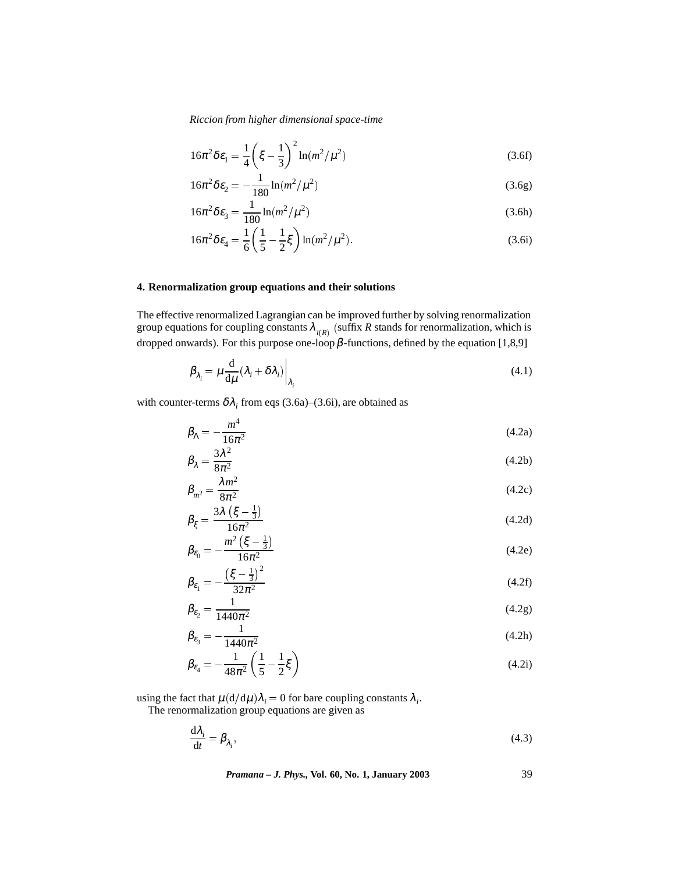$$
16\pi^2 \delta \varepsilon_1 = \frac{1}{4} \left( \xi - \frac{1}{3} \right)^2 \ln(m^2/\mu^2)
$$
 (3.6f)

$$
16\pi^2 \delta \varepsilon_2 = -\frac{1}{180} \ln(m^2/\mu^2)
$$
 (3.6g)

$$
16\pi^2 \delta \varepsilon_3 = \frac{1}{180} \ln(m^2/\mu^2)
$$
\n(3.6h)

$$
16\pi^2 \delta \varepsilon_4 = \frac{1}{6} \left( \frac{1}{5} - \frac{1}{2} \xi \right) \ln(m^2/\mu^2). \tag{3.6i}
$$

#### **4. Renormalization group equations and their solutions**

The effective renormalized Lagrangian can be improved further by solving renormalization group equations for coupling constants  $\lambda_{i(R)}$  (suffix *R* stands for renormalization, which is dropped onwards). For this purpose one-loop  $\beta$ -functions, defined by the equation [1,8,9]

$$
\beta_{\lambda_i} = \mu \frac{d}{d\mu} (\lambda_i + \delta \lambda_i) \bigg|_{\lambda_i}
$$
\n(4.1)

with counter-terms  $\delta \lambda_i$  from eqs (3.6a)–(3.6i), are obtained as

$$
\beta_{\Lambda} = -\frac{m^4}{16\pi^2} \tag{4.2a}
$$

$$
\beta_{\lambda} = \frac{3\kappa}{8\pi^2} \tag{4.2b}
$$

$$
\beta_{m^2} = \frac{\sinh^2}{8\pi^2}
$$
\n
$$
\beta = \frac{3\lambda\left(\xi - \frac{1}{3}\right)}{(4.2c)}
$$
\n
$$
(4.2c)
$$

$$
\beta_{\xi} = \frac{m^2(\xi - \frac{1}{3})}{16\pi^2}
$$
(4.2d)  

$$
\beta_{\varepsilon} = -\frac{m^2(\xi - \frac{1}{3})}{4}
$$
(4.2e)

$$
\beta_{\epsilon_0} = -\frac{(5-3)}{16\pi^2} \tag{4.2e}
$$
\n
$$
\beta_{\epsilon_1} = -\frac{(\xi - \frac{1}{3})^2}{32\pi^2} \tag{4.2f}
$$

$$
\beta_{\varepsilon_2} = \frac{1}{1440\pi^2} \tag{4.2g}
$$

$$
\beta_{\varepsilon_3} = -\frac{1}{1440\pi^2} \tag{4.2h}
$$

$$
\beta_{\varepsilon_4} = -\frac{1}{48\pi^2} \left( \frac{1}{5} - \frac{1}{2} \xi \right) \tag{4.2i}
$$

using the fact that  $\mu(d/d\mu)\lambda_i = 0$  for bare coupling constants  $\lambda_i$ .

The renormalization group equations are given as

$$
\frac{\mathrm{d}\lambda_i}{\mathrm{d}t} = \beta_{\lambda_i},\tag{4.3}
$$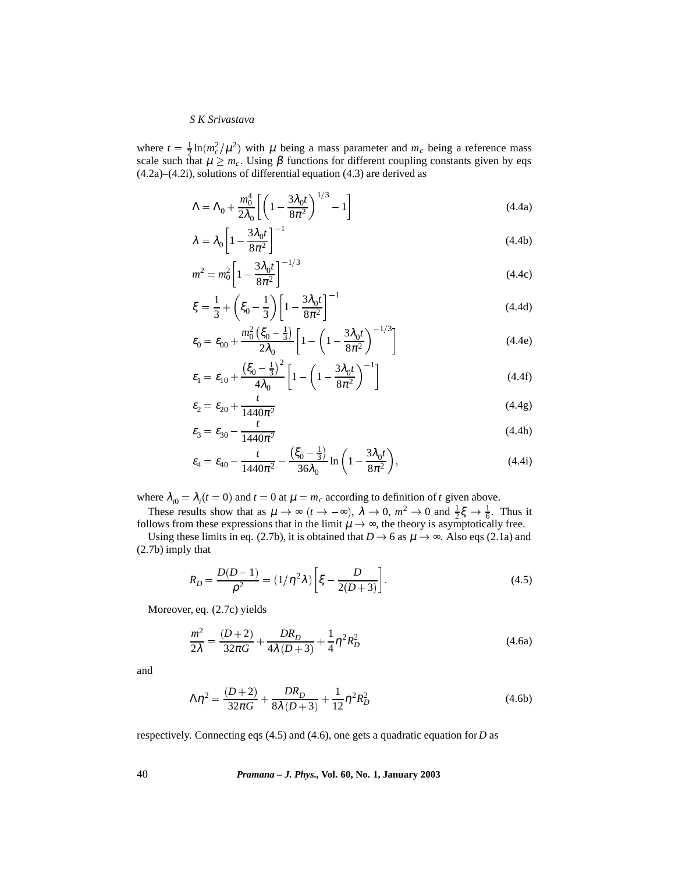where  $t = \frac{1}{2} \ln(m_c^2/\mu^2)$  with  $\mu$  being a mass parameter and  $m_c$  being a reference mass scale such that  $\mu \geq m_c$ . Using  $\beta$  functions for different coupling constants given by eqs (4.2a)–(4.2i), solutions of differential equation (4.3) are derived as

$$
\Lambda = \Lambda_0 + \frac{m_0^4}{2\lambda_0} \left[ \left( 1 - \frac{3\lambda_0 t}{8\pi^2} \right)^{1/3} - 1 \right]
$$
 (4.4a)

$$
\lambda = \lambda_0 \left[ 1 - \frac{3\lambda_0 t}{8\pi^2} \right]^{-1} \tag{4.4b}
$$

$$
m^2 = m_0^2 \left[ 1 - \frac{3\lambda_0 t}{8\pi^2} \right]^{-1/3}
$$
 (4.4c)

$$
\xi = \frac{1}{3} + \left(\xi_0 - \frac{1}{3}\right) \left[1 - \frac{3\lambda_0 t}{8\pi^2}\right]^{-1}
$$
\n(4.4d)

$$
\varepsilon_0 = \varepsilon_{00} + \frac{m_0^2 \left(\xi_0 - \frac{1}{3}\right)}{2\lambda_0} \left[1 - \left(1 - \frac{3\lambda_0 t}{8\pi^2}\right)^{-1/3}\right]
$$
(4.4e)

$$
\varepsilon_1 = \varepsilon_{10} + \frac{\left(\xi_0 - \frac{1}{3}\right)^2}{4\lambda_0} \left[1 - \left(1 - \frac{3\lambda_0 t}{8\pi^2}\right)^{-1}\right] \tag{4.4f}
$$

$$
\varepsilon_2 = \varepsilon_{20} + \frac{t}{1440\pi^2} \tag{4.4g}
$$

$$
\varepsilon_3 = \varepsilon_{30} - \frac{t}{1440\pi^2}
$$
\n(4.4h)

$$
\varepsilon_4 = \varepsilon_{40} - \frac{t}{1440\pi^2} - \frac{\left(\xi_0 - \frac{1}{3}\right)}{36\lambda_0} \ln\left(1 - \frac{3\lambda_0 t}{8\pi^2}\right),\tag{4.4i}
$$

where  $\lambda_{i0} = \lambda_i(t = 0)$  and  $t = 0$  at  $\mu = m_c$  according to definition of *t* given above.

These results show that as  $\mu \to \infty$  ( $t \to -\infty$ ),  $\lambda \to 0$ ,  $m^2 \to 0$  and  $\frac{1}{2}\xi \to \frac{1}{6}$ . Thus it follows from these expressions that in the limit  $\mu \to \infty$ , the theory is asymptotically free.

Using these limits in eq. (2.7b), it is obtained that  $D \rightarrow 6$  as  $\mu \rightarrow \infty$ . Also eqs (2.1a) and (2.7b) imply that

$$
R_D = \frac{D(D-1)}{\rho^2} = (1/\eta^2 \lambda) \left[ \xi - \frac{D}{2(D+3)} \right].
$$
 (4.5)

Moreover, eq. (2.7c) yields

$$
\frac{m^2}{2\lambda} = \frac{(D+2)}{32\pi G} + \frac{DR_D}{4\lambda(D+3)} + \frac{1}{4}\eta^2 R_D^2
$$
\n(4.6a)

and

$$
\Lambda \eta^2 = \frac{(D+2)}{32\pi G} + \frac{DR_D}{8\lambda(D+3)} + \frac{1}{12} \eta^2 R_D^2
$$
\n(4.6b)

respectively. Connecting eqs (4.5) and (4.6), one gets a quadratic equation for*D* as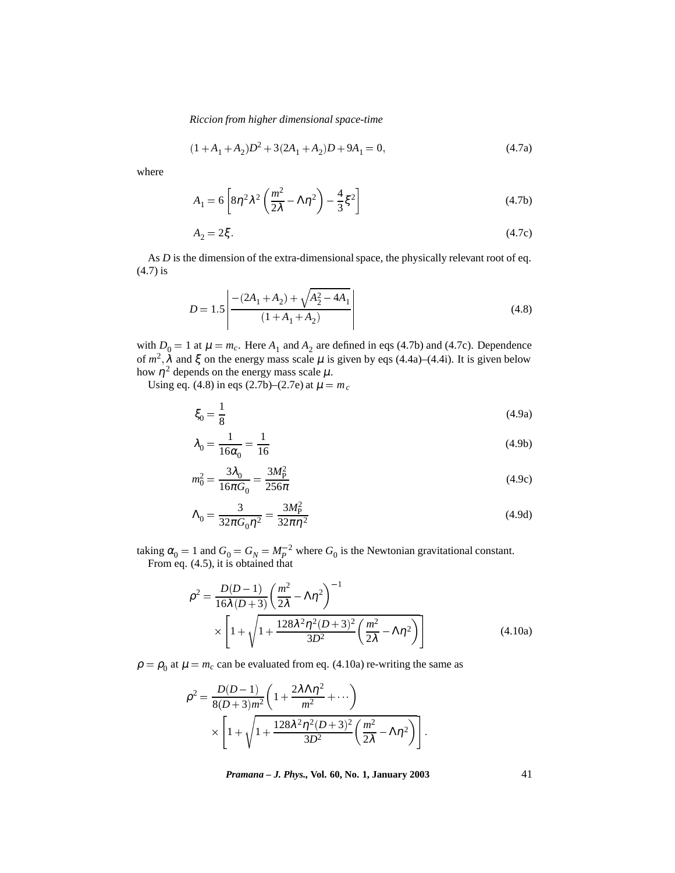$$
(1 + A1 + A2)D2 + 3(2A1 + A2)D + 9A1 = 0,
$$
\n(4.7a)

where

$$
A_1 = 6 \left[ 8\eta^2 \lambda^2 \left( \frac{m^2}{2\lambda} - \Lambda \eta^2 \right) - \frac{4}{3} \xi^2 \right]
$$
 (4.7b)

$$
A_2 = 2\xi. \tag{4.7c}
$$

As *D* is the dimension of the extra-dimensional space, the physically relevant root of eq. (4.7) is

$$
D = 1.5 \left| \frac{-(2A_1 + A_2) + \sqrt{A_2^2 - 4A_1}}{(1 + A_1 + A_2)} \right|
$$
\n(4.8)

with  $D_0 = 1$  at  $\mu = m_c$ . Here  $A_1$  and  $A_2$  are defined in eqs (4.7b) and (4.7c). Dependence of  $m^2$ ,  $\lambda$  and  $\xi$  on the energy mass scale  $\mu$  is given by eqs (4.4a)–(4.4i). It is given below how  $\eta^2$  depends on the energy mass scale  $\mu$ .

Using eq. (4.8) in eqs (2.7b)–(2.7e) at  $\mu = m_c$ 

$$
\xi_0 = \frac{1}{8} \tag{4.9a}
$$

$$
\lambda_0 = \frac{1}{16\alpha_0} = \frac{1}{16}
$$
\n(4.9b)

$$
m_0^2 = \frac{3\lambda_0}{16\pi G_0} = \frac{3M_P^2}{256\pi}
$$
 (4.9c)

$$
\Lambda_0 = \frac{3}{32\pi G_0 \eta^2} = \frac{3M_P^2}{32\pi \eta^2}
$$
\n(4.9d)

taking  $\alpha_0 = 1$  and  $G_0 = G_N = M_P^{-2}$  where  $G_0$  is the Newtonian gravitational constant. From eq. (4.5), it is obtained that

$$
\rho^2 = \frac{D(D-1)}{16\lambda(D+3)} \left(\frac{m^2}{2\lambda} - \Lambda\eta^2\right)^{-1} \times \left[1 + \sqrt{1 + \frac{128\lambda^2\eta^2(D+3)^2}{3D^2} \left(\frac{m^2}{2\lambda} - \Lambda\eta^2\right)}\right]
$$
(4.10a)

 $\rho = \rho_0$  at  $\mu = m_c$  can be evaluated from eq. (4.10a) re-writing the same as

$$
\rho^2 = \frac{D(D-1)}{8(D+3)m^2} \left( 1 + \frac{2\lambda \Lambda \eta^2}{m^2} + \cdots \right) \times \left[ 1 + \sqrt{1 + \frac{128\lambda^2 \eta^2 (D+3)^2}{3D^2} \left( \frac{m^2}{2\lambda} - \Lambda \eta^2 \right)} \right].
$$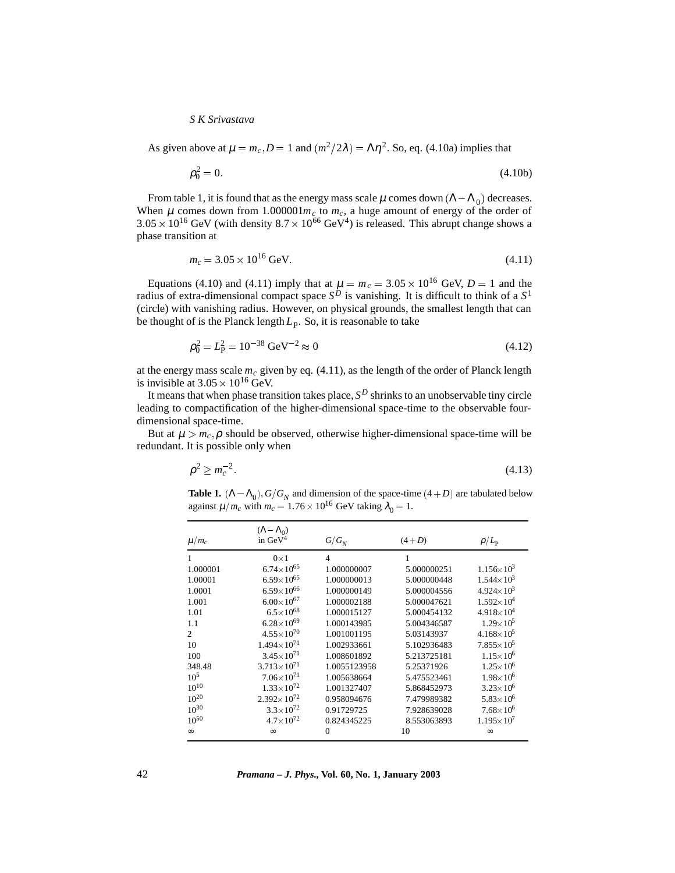As given above at  $\mu = m_c$ ,  $D = 1$  and  $(m^2/2\lambda) = \Lambda \eta^2$ . So, eq. (4.10a) implies that

$$
\rho_0^2 = 0. \tag{4.10b}
$$

From table 1, it is found that as the energy mass scale  $\mu$  comes down  $(\Lambda - \Lambda_0)$  decreases. When  $\mu$  comes down from 1.000001 $m_c$  to  $m_c$ , a huge amount of energy of the order of  $3.05 \times 10^{16}$  GeV (with density  $8.7 \times 10^{66}$  GeV<sup>4</sup>) is released. This abrupt change shows a phase transition at

$$
m_c = 3.05 \times 10^{16} \,\text{GeV}.\tag{4.11}
$$

Equations (4.10) and (4.11) imply that at  $\mu = m_c = 3.05 \times 10^{16}$  GeV,  $D = 1$  and the radius of extra-dimensional compact space  $S^D$  is vanishing. It is difficult to think of a  $S^1$ (circle) with vanishing radius. However, on physical grounds, the smallest length that can be thought of is the Planck length  $L_p$ . So, it is reasonable to take

$$
\rho_0^2 = L_P^2 = 10^{-38} \text{ GeV}^{-2} \approx 0 \tag{4.12}
$$

at the energy mass scale  $m_c$  given by eq.  $(4.11)$ , as the length of the order of Planck length is invisible at  $3.05 \times 10^{16}$  GeV.

It means that when phase transition takes place,  $S<sup>D</sup>$  shrinks to an unobservable tiny circle leading to compactification of the higher-dimensional space-time to the observable fourdimensional space-time.

But at  $\mu > m_c$ ,  $\rho$  should be observed, otherwise higher-dimensional space-time will be redundant. It is possible only when

$$
\rho^2 \ge m_c^{-2}.\tag{4.13}
$$

**Table 1.**  $(\Lambda - \Lambda_0)$ ,  $G/G_N$  and dimension of the space-time  $(4+D)$  are tabulated below against  $\mu/m_c$  with  $m_c = 1.76 \times 10^{16}$  GeV taking  $\lambda_0 = 1$ .

|           | $(\Lambda - \Lambda_0)$ |                |             |                       |
|-----------|-------------------------|----------------|-------------|-----------------------|
| $\mu/m_c$ | in $GeV^4$              | $G/G_N$        | $(4+D)$     | $\rho/L_{\rm P}$      |
|           | $0\times1$              | $\overline{4}$ | 1           |                       |
| 1.000001  | $6.74 \times 10^{65}$   | 1.000000007    | 5.000000251 | $1.156 \times 10^3$   |
| 1.00001   | $6.59 \times 10^{65}$   | 1.000000013    | 5.000000448 | $1.544 \times 10^3$   |
| 1.0001    | $6.59\times10^{66}$     | 1.000000149    | 5.000004556 | $4.924 \times 10^3$   |
| 1.001     | $6.00 \times 10^{67}$   | 1.000002188    | 5.000047621 | $1.592\times10^{4}$   |
| 1.01      | $6.5 \times 10^{68}$    | 1.000015127    | 5.000454132 | $4.918\times10^{4}$   |
| 1.1       | $6.28 \times 10^{69}$   | 1.000143985    | 5.004346587 | $1.29 \times 10^5$    |
| 2         | $4.55 \times 10^{70}$   | 1.001001195    | 5.03143937  | $4.168 \times 10^5$   |
| 10        | $1.494 \times 10^{71}$  | 1.002933661    | 5.102936483 | $7.855 \times 10^5$   |
| 100       | $3.45 \times 10^{71}$   | 1.008601892    | 5.213725181 | $1.15 \times 10^{6}$  |
| 348.48    | $3.713 \times 10^{71}$  | 1.0055123958   | 5.25371926  | $1.25 \times 10^{6}$  |
| $10^{5}$  | $7.06 \times 10^{71}$   | 1.005638664    | 5.475523461 | $1.98 \times 10^{6}$  |
| $10^{10}$ | $1.33 \times 10^{72}$   | 1.001327407    | 5.868452973 | $3.23 \times 10^{6}$  |
| $10^{20}$ | $2.392 \times 10^{72}$  | 0.958094676    | 7.479989382 | $5.83 \times 10^{6}$  |
| $10^{30}$ | $3.3 \times 10^{72}$    | 0.91729725     | 7.928639028 | $7.68 \times 10^{6}$  |
| $10^{50}$ | $4.7 \times 10^{72}$    | 0.824345225    | 8.553063893 | $1.195 \times 10^{7}$ |
| $\infty$  | $\infty$                | $\Omega$       | 10          | $\infty$              |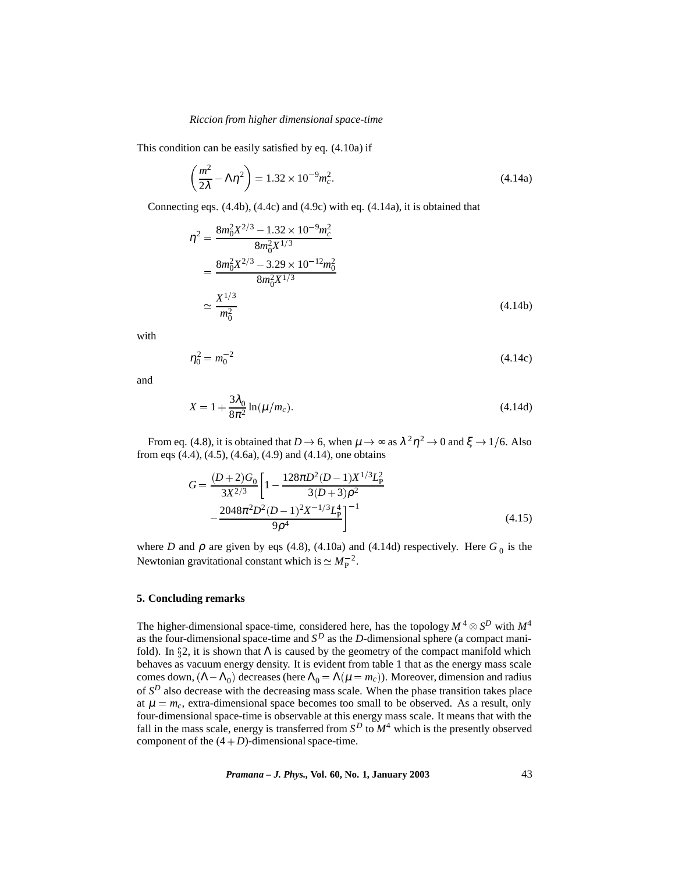This condition can be easily satisfied by eq. (4.10a) if

$$
\left(\frac{m^2}{2\lambda} - \Lambda \eta^2\right) = 1.32 \times 10^{-9} m_c^2. \tag{4.14a}
$$

Connecting eqs. (4.4b), (4.4c) and (4.9c) with eq. (4.14a), it is obtained that

$$
\eta^2 = \frac{8m_0^2 X^{2/3} - 1.32 \times 10^{-9} m_c^2}{8m_0^2 X^{1/3}}
$$
  
= 
$$
\frac{8m_0^2 X^{2/3} - 3.29 \times 10^{-12} m_0^2}{8m_0^2 X^{1/3}}
$$
  

$$
\approx \frac{X^{1/3}}{m_0^2}
$$
 (4.14b)

with

$$
\eta_0^2 = m_0^{-2} \tag{4.14c}
$$

and

$$
X = 1 + \frac{3\lambda_0}{8\pi^2} \ln(\mu/m_c).
$$
 (4.14d)

From eq. (4.8), it is obtained that  $D \to 6$ , when  $\mu \to \infty$  as  $\lambda^2 \eta^2 \to 0$  and  $\xi \to 1/6$ . Also from eqs (4.4), (4.5), (4.6a), (4.9) and (4.14), one obtains

$$
G = \frac{(D+2)G_0}{3X^{2/3}} \left[ 1 - \frac{128\pi D^2 (D-1)X^{1/3} L_P^2}{3(D+3)\rho^2} - \frac{2048\pi^2 D^2 (D-1)^2 X^{-1/3} L_P^4}{9\rho^4} \right]^{-1}
$$
(4.15)

where *D* and  $\rho$  are given by eqs (4.8), (4.10a) and (4.14d) respectively. Here  $G_0$  is the Newtonian gravitational constant which is  $\simeq M_{\rm P}^{-2}$ .

### **5. Concluding remarks**

The higher-dimensional space-time, considered here, has the topology  $M^4 \otimes S^D$  with  $M^4$ as the four-dimensional space-time and  $S^D$  as the *D*-dimensional sphere (a compact manifold). In  $\S 2$ , it is shown that  $\Lambda$  is caused by the geometry of the compact manifold which behaves as vacuum energy density. It is evident from table 1 that as the energy mass scale comes down,  $(Λ – Λ<sub>0</sub>)$  decreases (here  $Λ<sub>0</sub> = Λ(μ = m<sub>c</sub>)$ ). Moreover, dimension and radius of *S<sup>D</sup>* also decrease with the decreasing mass scale. When the phase transition takes place at  $\mu = m_c$ , extra-dimensional space becomes too small to be observed. As a result, only four-dimensional space-time is observable at this energy mass scale. It means that with the fall in the mass scale, energy is transferred from *S<sup>D</sup>* to *M*<sup>4</sup> which is the presently observed component of the  $(4+D)$ -dimensional space-time.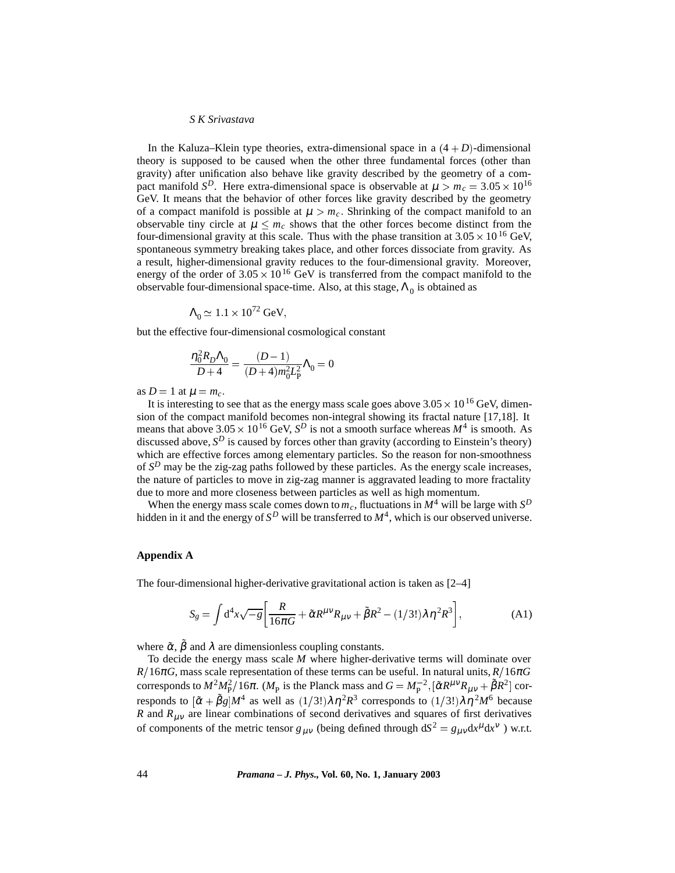In the Kaluza–Klein type theories, extra-dimensional space in a  $(4+D)$ -dimensional theory is supposed to be caused when the other three fundamental forces (other than gravity) after unification also behave like gravity described by the geometry of a compact manifold  $S^D$ . Here extra-dimensional space is observable at  $\mu > m_c = 3.05 \times 10^{16}$ GeV. It means that the behavior of other forces like gravity described by the geometry of a compact manifold is possible at  $\mu > m_c$ . Shrinking of the compact manifold to an observable tiny circle at  $\mu < m_c$  shows that the other forces become distinct from the four-dimensional gravity at this scale. Thus with the phase transition at  $3.05 \times 10^{16}$  GeV, spontaneous symmetry breaking takes place, and other forces dissociate from gravity. As a result, higher-dimensional gravity reduces to the four-dimensional gravity. Moreover, energy of the order of  $3.05 \times 10^{16}$  GeV is transferred from the compact manifold to the observable four-dimensional space-time. Also, at this stage,  $\Lambda_0$  is obtained as

$$
\Lambda_0 \simeq 1.1 \times 10^{72} \,\text{GeV},
$$

but the effective four-dimensional cosmological constant

$$
\frac{\eta_0^2 R_D \Lambda_0}{D+4} = \frac{(D-1)}{(D+4)m_0^2 L_{\rm P}^2} \Lambda_0 = 0
$$

as  $D = 1$  at  $\mu = m_c$ .

It is interesting to see that as the energy mass scale goes above  $3.05 \times 10^{16}$  GeV, dimension of the compact manifold becomes non-integral showing its fractal nature [17,18]. It means that above  $3.05 \times 10^{16}$  GeV,  $S^D$  is not a smooth surface whereas  $M^4$  is smooth. As discussed above,  $S^D$  is caused by forces other than gravity (according to Einstein's theory) which are effective forces among elementary particles. So the reason for non-smoothness of  $S^D$  may be the zig-zag paths followed by these particles. As the energy scale increases, the nature of particles to move in zig-zag manner is aggravated leading to more fractality due to more and more closeness between particles as well as high momentum.

When the energy mass scale comes down to  $m_c$ , fluctuations in  $M^4$  will be large with  $S^D$ hidden in it and the energy of  $S^D$  will be transferred to  $M^4$ , which is our observed universe.

#### **Appendix A**

The four-dimensional higher-derivative gravitational action is taken as [2–4]

$$
S_g = \int d^4x \sqrt{-g} \left[ \frac{R}{16\pi G} + \tilde{\alpha} R^{\mu\nu} R_{\mu\nu} + \tilde{\beta} R^2 - (1/3!) \lambda \eta^2 R^3 \right],\tag{A1}
$$

where  $\tilde{\alpha}$ ,  $\tilde{\beta}$  and  $\lambda$  are dimensionless coupling constants.

To decide the energy mass scale *M* where higher-derivative terms will dominate over  $R/16\pi$ *G*, mass scale representation of these terms can be useful. In natural units,  $R/16\pi$ *G* corresponds to  $M^2 M_P^2/16\pi$ . ( $M_P$  is the Planck mass and  $G = M_P^{-2}$ ,  $[\tilde{\alpha}R^{\mu\nu}R_{\mu\nu} + \tilde{\beta}R^2]$  corresponds to  $[\tilde{\alpha} + \tilde{\beta}g]M^4$  as well as  $(1/3!) \lambda \eta^2 R^3$  corresponds to  $(1/3!) \lambda \eta^2 M^6$  because *R* and  $R_{\mu\nu}$  are linear combinations of second derivatives and squares of first derivatives of components of the metric tensor  $g_{\mu\nu}$  (being defined through  $dS^2 = g_{\mu\nu}dx^{\mu}dx^{\nu}$ ) w.r.t.